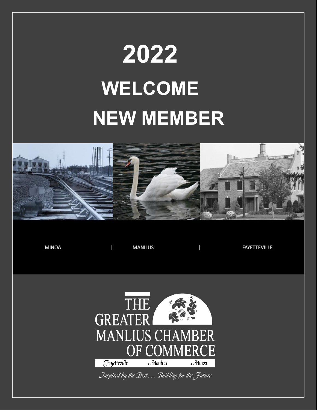# **2022 WELCOME NEW MEMBER**



**MINOA MANLIUS** T **FAYETTEVILLE** T **THE GREATER MANLIUS CHAMBER** ER H) JMM Fayetteville  $\mathcal{M}$ anlius  $\mathcal M$ inoa Inspired by the Past ... Building for the Future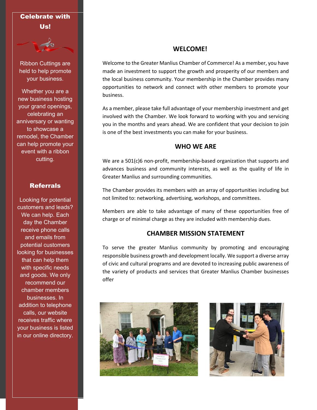# Celebrate with Us!



Ribbon Cuttings are held to help promote your business.

Whether you are a new business hosting your grand openings, celebrating an anniversary or wanting to showcase a remodel, the Chamber can help promote your event with a ribbon cutting.

## **Referrals**

Looking for potential customers and leads? We can help. Each day the Chamber receive phone calls and emails from potential customers looking for businesses that can help them with specific needs and goods. We only recommend our chamber members businesses. In addition to telephone calls, our website receives traffic where your business is listed in our online directory.

# **WELCOME!**

Welcome to the Greater Manlius Chamber of Commerce! As a member, you have made an investment to support the growth and prosperity of our members and the local business community. Your membership in the Chamber provides many opportunities to network and connect with other members to promote your business.

As a member, please take full advantage of your membership investment and get involved with the Chamber. We look forward to working with you and servicing you in the months and years ahead. We are confident that your decision to join is one of the best investments you can make for your business.

### **WHO WE ARE**

We are a 501(c)6 non-profit, membership-based organization that supports and advances business and community interests, as well as the quality of life in Greater Manlius and surrounding communities.

The Chamber provides its members with an array of opportunities including but not limited to: networking, advertising, workshops, and committees.

Members are able to take advantage of many of these opportunities free of charge or of minimal charge as they are included with membership dues.

## **CHAMBER MISSION STATEMENT**

To serve the greater Manlius community by promoting and encouraging responsible business growth and development locally. We support a diverse array of civic and cultural programs and are devoted to increasing public awareness of the variety of products and services that Greater Manlius Chamber businesses offer



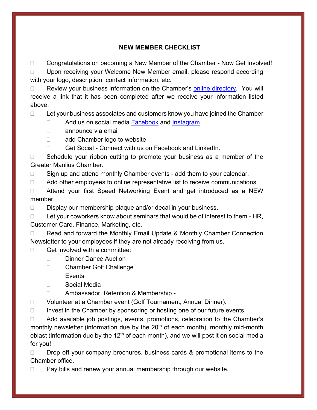# **NEW MEMBER CHECKLIST**

□ Congratulations on becoming a New Member of the Chamber - Now Get Involved! □ Upon receiving your Welcome New Member email, please respond according with your logo, description, contact information, etc.

 $\Box$  Review your business information on the Chamber's [online directory.](http://manliuschamber.com/members-by-company-name.php) You will receive a link that it has been completed after we receive your information listed above.

 $\Box$  Let your business associates and customers know you have joined the Chamber

- □ Add us on social media [Facebook](https://www.facebook.com/GreaterManliusChamber/) and [Instagram](https://www.instagram.com/greater_manlius_chamber/)
- □ announce via email
- □ add Chamber logo to website
- □ Get Social Connect with us on Facebook and LinkedIn.

 $\Box$  Schedule your ribbon cutting to promote your business as a member of the Greater Manlius Chamber.

 $\Box$  Sign up and attend monthly Chamber events - add them to your calendar.

 $\Box$  Add other employees to online representative list to receive communications.

□ Attend your first Speed Networking Event and get introduced as a NEW member.

 $\Box$  Display our membership plaque and/or decal in your business.

 $\Box$  Let your coworkers know about seminars that would be of interest to them - HR, Customer Care, Finance, Marketing, etc.

□ Read and forward the Monthly Email Update & Monthly Chamber Connection Newsletter to your employees if they are not already receiving from us.

# $\Box$  Get involved with a committee:

- Dinner Dance Auction
- □ Chamber Golf Challenge
- $\Box$  Events
- Social Media
- □ Ambassador, Retention & Membership -
- Volunteer at a Chamber event (Golf Tournament, Annual Dinner).

 $\Box$  Invest in the Chamber by sponsoring or hosting one of our future events.

□ Add available job postings, events, promotions, celebration to the Chamber's monthly newsletter (information due by the  $20<sup>th</sup>$  of each month), monthly mid-month eblast (information due by the 12<sup>th</sup> of each month), and we will post it on social media for you!

 $\Box$  Drop off your company brochures, business cards & promotional items to the Chamber office.

□ Pay bills and renew your annual membership through our website.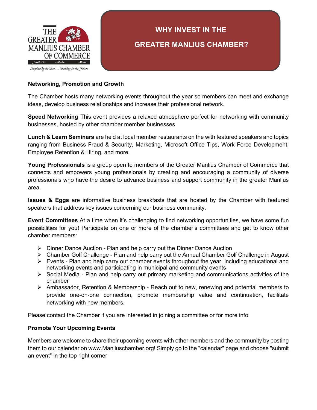

Inspired by the Past... Building for the Future

# **WHY INVEST IN THE GREATER MANLIUS CHAMBER?**

#### **Networking, Promotion and Growth**

The Chamber hosts many networking events throughout the year so members can meet and exchange ideas, develop business relationships and increase their professional network.

**Speed Networking** This event provides a relaxed atmosphere perfect for networking with community businesses, hosted by other chamber member businesses

**Lunch & Learn Seminars** are held at local member restaurants on the with featured speakers and topics ranging from Business Fraud & Security, Marketing, Microsoft Office Tips, Work Force Development, Employee Retention & Hiring, and more.

**Young Professionals** is a group open to members of the Greater Manlius Chamber of Commerce that connects and empowers young professionals by creating and encouraging a community of diverse professionals who have the desire to advance business and support community in the greater Manlius area.

**Issues & Eggs** are informative business breakfasts that are hosted by the Chamber with featured speakers that address key issues concerning our business community.

**Event Committees** At a time when it's challenging to find networking opportunities, we have some fun possibilities for you! Participate on one or more of the chamber's committees and get to know other chamber members:

- $\triangleright$  Dinner Dance Auction Plan and help carry out the Dinner Dance Auction
- $\triangleright$  Chamber Golf Challenge Plan and help carry out the Annual Chamber Golf Challenge in August
- $\triangleright$  Events Plan and help carry out chamber events throughout the year, including educational and networking events and participating in municipal and community events
- $\triangleright$  Social Media Plan and help carry out primary marketing and communications activities of the chamber
- Ambassador, Retention & Membership Reach out to new, renewing and potential members to provide one-on-one connection, promote membership value and continuation, facilitate networking with new members.

Please contact the Chamber if you are interested in joining a committee or for more info.

#### **Promote Your Upcoming Events**

Members are welcome to share their upcoming events with other members and the community by telling your Chamber Administrator to post them to our calendar on www.Manliuschamber.org!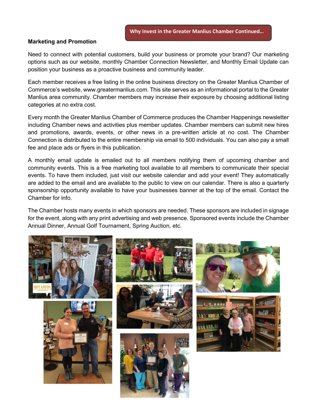#### **Marketing and Promotion**

Need to connect with potential customers, build your business or promote your brand? Our marketing options such as our website, monthly Chamber Connection Newsletter, and Monthly Email Update can position your business as a proactive business and community leader.

Each member receives a free listing in the online business directory on the Greater Manlius Chamber of Commerce's website, www.greatermanlius.com. This site serves as an informational portal to the Greater Manlius area community. Chamber members may increase their exposure by choosing additional listing categories at no extra cost.

Every month the Greater Manlius Chamber of Commerce produces the Chamber Happenings newsletter including Chamber news and activities plus member updates. Chamber members can submit new hires and promotions, awards, events, or other news in a pre-written article at no cost. The Chamber Connection is distributed to the entire membership via email to 500 individuals. You can also pay a small fee and place ads or flyers in this publication.

A monthly email update is emailed out to all members notifying them of upcoming chamber and community events. This is a free marketing tool available to all members to communicate their special events. To have them included, just visit our website calendar and add your event! They automatically are added to the email and are available to the public to view on our calendar. There is also a quarterly sponsorship opportunity available to have your businesses banner at the top of the email. Contact the Chamber for info.

The Chamber hosts many events in which sponsors are needed. These sponsors are included in signage for the event, along with any print advertising and web presence. Sponsored events include the Chamber Annual Dinner, Annual Golf Tournament, Spring Auction, etc.

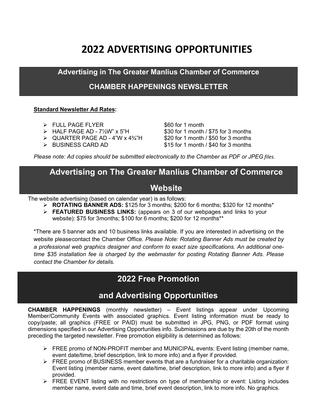# **2022 ADVERTISING OPPORTUNITIES**

**Advertising in The Greater Manlius Chamber of Commerce**

# **CHAMBER HAPPENINGS NEWSLETTER**

#### **Standard Newsletter Ad Rates:**

- 
- $\triangleright$  HALF PAGE AD 7 $\frac{1}{2}W''$  x 5"H
- $\geq$  QUARTER PAGE AD 4"W x 4 $\frac{3}{4}$ "H \$20 for 1 month / \$50 for 3 months
- 

> FULL PAGE FLYER<br>
→ HALF PAGE AD - 7½W" x 5"H \$30 for 1 month / \$75 for 3 months BUSINESS CARD AD \$15 for 1 month / \$40 for 3 months

*Please note: Ad copies should be submitted electronically to the Chamber as PDF or JPEG files.*

# **Advertising on The Greater Manlius Chamber of Commerce**

# **Website**

The website advertising (based on calendar year) is as follows:

- **ROTATING BANNER ADS:** \$125 for 3 months; \$200 for 6 months; \$320 for 12 months\*
- **FEATURED BUSINESS LINKS:** (appears on 3 of our webpages and links to your website): \$75 for 3months; \$100 for 6 months; \$200 for 12 months\*\*

\*There are 5 banner ads and 10 business links available. If you are interested in advertising on the website pleasecontact the Chamber Office. *Please Note: Rotating Banner Ads must be created by a professional web graphics designer and conform to exact size specifications. An additional onetime \$35 installation fee is charged by the webmaster for posting Rotating Banner Ads. Please contact the Chamber for details.*

# **2022 Free Promotion**

# **and Advertising Opportunities**

**CHAMBER HAPPENINGS** (monthly newsletter) – Event listings appear under Upcoming Member/Community Events with associated graphics. Event listing information must be ready to copy/paste; all graphics (FREE or PAID) must be submitted in JPG, PNG, or PDF format using dimensions specified in our Advertising Opportunities info. Submissions are due by the 20th of the month preceding the targeted newsletter. Free promotion eligibility is determined as follows:

- $\triangleright$  FREE promo of NON-PROFIT member and MUNICIPAL events: Event listing (member name, event date/time, brief description, link to more info) and a flyer if provided.
- FREE promo of BUSINESS member events that are a fundraiser for a charitable organization: Event listing (member name, event date/time, brief description, link to more info) and a flyer if provided.
- $\triangleright$  FREE EVENT listing with no restrictions on type of membership or event: Listing includes member name, event date and time, brief event description, link to more info. No graphics.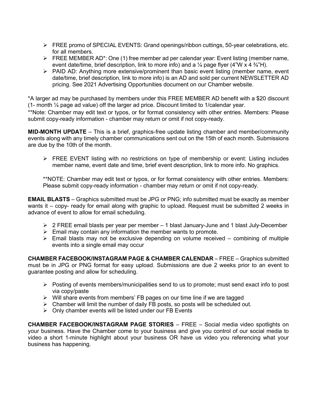- FREE promo of SPECIAL EVENTS: Grand openings/ribbon cuttings, 50-year celebrations, etc. for all members.
- $\triangleright$  FREE MEMBER AD\*: One (1) free member ad per calendar year: Event listing (member name, event date/time, brief description, link to more info) and a  $\frac{1}{4}$  page flyer (4"W x 4  $\frac{3}{4}$ "H).
- $\triangleright$  PAID AD: Anything more extensive/prominent than basic event listing (member name, event date/time, brief description, link to more info) is an AD and sold per current NEWSLETTER AD pricing. See 2021 Advertising Opportunities document on our Chamber website.

\*A larger ad may be purchased by members under this FREE MEMBER AD benefit with a \$20 discount (1- month ¼ page ad value) off the larger ad price. Discount limited to 1/calendar year.

\*\*Note: Chamber may edit text or typos, or for format consistency with other entries. Members: Please submit copy-ready information - chamber may return or omit if not copy-ready.

**MID-MONTH UPDATE** – This is a brief, graphics-free update listing chamber and member/community events along with any timely chamber communications sent out on the 15th of each month. Submissions are due by the 10th of the month.

 $\triangleright$  FREE EVENT listing with no restrictions on type of membership or event: Listing includes member name, event date and time, brief event description, link to more info. No graphics.

\*\*NOTE: Chamber may edit text or typos, or for format consistency with other entries. Members: Please submit copy-ready information - chamber may return or omit if not copy-ready.

**EMAIL BLASTS** – Graphics submitted must be JPG or PNG; info submitted must be exactly as member wants it – copy- ready for email along with graphic to upload. Request must be submitted 2 weeks in advance of event to allow for email scheduling.

- $\geq 2$  FREE email blasts per year per member 1 blast January-June and 1 blast July-December
- $\triangleright$  Email may contain any information the member wants to promote.
- $\triangleright$  Email blasts may not be exclusive depending on volume received combining of multiple events into a single email may occur

**CHAMBER FACEBOOK/INSTAGRAM PAGE & CHAMBER CALENDAR** – FREE – Graphics submitted must be in JPG or PNG format for easy upload. Submissions are due 2 weeks prior to an event to guarantee posting and allow for scheduling.

- $\triangleright$  Posting of events members/municipalities send to us to promote; must send exact info to post via copy/paste
- Will share events from members' FB pages on our time line if we are tagged
- $\triangleright$  Chamber will limit the number of daily FB posts, so posts will be scheduled out.
- $\triangleright$  Only chamber events will be listed under our FB Events

**CHAMBER FACEBOOK/INSTAGRAM PAGE STORIES** – FREE – Social media video spotlights on your business. Have the Chamber come to your business and give you control of our social media to video a short 1-minute highlight about your business OR have us video you referencing what your business has happening.